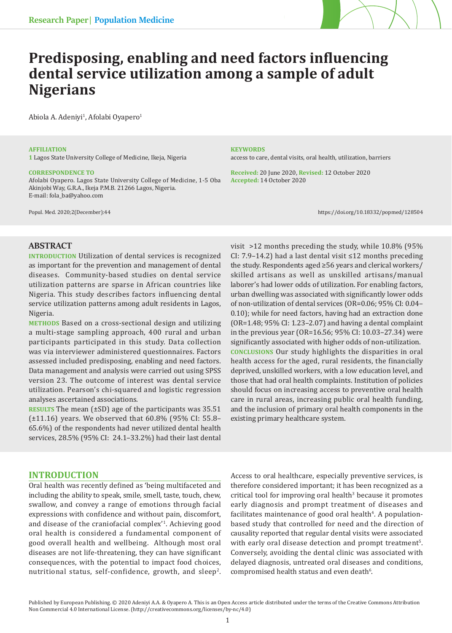

# **Predisposing, enabling and need factors influencing dental service utilization among a sample of adult Nigerians**

Abiola A. Adeniyi<sup>1</sup>, Afolabi Oyapero<sup>1</sup>

#### **AFFILIATION**

**1** Lagos State University College of Medicine, Ikeja, Nigeria

#### **CORRESPONDENCE TO**

Afolabi Oyapero. Lagos State University College of Medicine, 1-5 Oba Akinjobi Way, G.R.A., Ikeja P.M.B. 21266 Lagos, Nigeria. E-mail: fola\_ba@yahoo.com

#### **KEYWORDS**

access to care, dental visits, oral health, utilization, barriers

**Received:** 20 June 2020, **Revised:** 12 October 2020 **Accepted:** 14 October 2020

Popul. Med. 2020;2(December):44 https://doi.org/10.18332/popmed/128504

# **ABSTRACT**

**INTRODUCTION** Utilization of dental services is recognized as important for the prevention and management of dental diseases. Community-based studies on dental service utilization patterns are sparse in African countries like Nigeria. This study describes factors influencing dental service utilization patterns among adult residents in Lagos, Nigeria.

**METHODS** Based on a cross-sectional design and utilizing a multi-stage sampling approach, 400 rural and urban participants participated in this study. Data collection was via interviewer administered questionnaires. Factors assessed included predisposing, enabling and need factors. Data management and analysis were carried out using SPSS version 23. The outcome of interest was dental service utilization. Pearson's chi-squared and logistic regression analyses ascertained associations.

**RESULTS** The mean (±SD) age of the participants was 35.51 (±11.16) years. We observed that 60.8% (95% CI: 55.8– 65.6%) of the respondents had never utilized dental health services, 28.5% (95% CI: 24.1–33.2%) had their last dental

## **INTRODUCTION**

Oral health was recently defined as 'being multifaceted and including the ability to speak, smile, smell, taste, touch, chew, swallow, and convey a range of emotions through facial expressions with confidence and without pain, discomfort, and disease of the craniofacial complex'1 . Achieving good oral health is considered a fundamental component of good overall health and wellbeing. Although most oral diseases are not life-threatening, they can have significant consequences, with the potential to impact food choices, nutritional status, self-confidence, growth, and sleep<sup>2</sup>.

visit >12 months preceding the study, while 10.8% (95% CI: 7.9–14.2) had a last dental visit ≤12 months preceding the study. Respondents aged ≥56 years and clerical workers/ skilled artisans as well as unskilled artisans/manual laborer's had lower odds of utilization. For enabling factors, urban dwelling was associated with significantly lower odds of non-utilization of dental services (OR=0.06; 95% CI: 0.04– 0.10); while for need factors, having had an extraction done (OR=1.48; 95% CI: 1.23–2.07) and having a dental complaint in the previous year (OR=16.56; 95% CI: 10.03–27.34) were significantly associated with higher odds of non-utilization. **CONCLUSIONS** Our study highlights the disparities in oral health access for the aged, rural residents, the financially deprived, unskilled workers, with a low education level, and those that had oral health complaints. Institution of policies should focus on increasing access to preventive oral health care in rural areas, increasing public oral health funding, and the inclusion of primary oral health components in the existing primary healthcare system.

Access to oral healthcare, especially preventive services, is therefore considered important; it has been recognized as a critical tool for improving oral health<sup>3</sup> because it promotes early diagnosis and prompt treatment of diseases and facilitates maintenance of good oral health<sup>4</sup>. A populationbased study that controlled for need and the direction of causality reported that regular dental visits were associated with early oral disease detection and prompt treatment<sup>5</sup>. Conversely, avoiding the dental clinic was associated with delayed diagnosis, untreated oral diseases and conditions, compromised health status and even death<sup>6</sup>.

Published by European Publishing. © 2020 Adeniyi A.A. & Oyapero A. This is an Open Access article distributed under the terms of the Creative Commons Attribution Non Commercial 4.0 International License. (http://creativecommons.org/licenses/by-nc/4.0)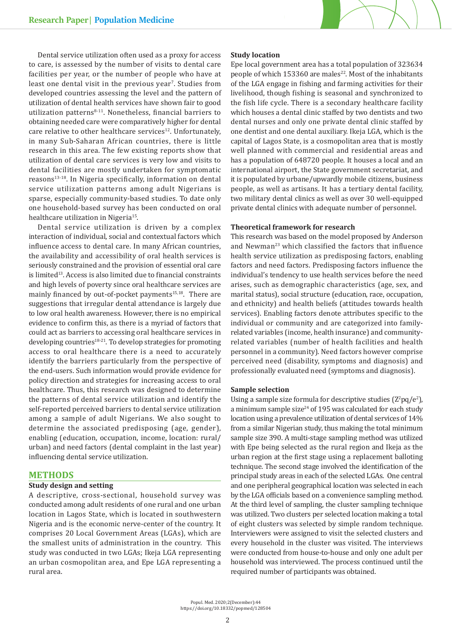

Dental service utilization often used as a proxy for access to care, is assessed by the number of visits to dental care facilities per year, or the number of people who have at least one dental visit in the previous year<sup>7</sup>. Studies from developed countries assessing the level and the pattern of utilization of dental health services have shown fair to good utilization patterns<sup>8-11</sup>. Nonetheless, financial barriers to obtaining needed care were comparatively higher for dental care relative to other healthcare services<sup>12</sup>. Unfortunately, in many Sub-Saharan African countries, there is little research in this area. The few existing reports show that utilization of dental care services is very low and visits to dental facilities are mostly undertaken for symptomatic reasons<sup>13-18</sup>. In Nigeria specifically, information on dental service utilization patterns among adult Nigerians is sparse, especially community-based studies. To date only one household-based survey has been conducted on oral healthcare utilization in Nigeria<sup>15</sup>.

Dental service utilization is driven by a complex interaction of individual, social and contextual factors which influence access to dental care. In many African countries, the availability and accessibility of oral health services is seriously constrained and the provision of essential oral care is limited<sup>13</sup>. Access is also limited due to financial constraints and high levels of poverty since oral healthcare services are mainly financed by out-of-pocket payments<sup>15,18</sup>. There are suggestions that irregular dental attendance is largely due to low oral health awareness. However, there is no empirical evidence to confirm this, as there is a myriad of factors that could act as barriers to accessing oral healthcare services in developing countries<sup>18-21</sup>. To develop strategies for promoting access to oral healthcare there is a need to accurately identify the barriers particularly from the perspective of the end-users. Such information would provide evidence for policy direction and strategies for increasing access to oral healthcare. Thus, this research was designed to determine the patterns of dental service utilization and identify the self-reported perceived barriers to dental service utilization among a sample of adult Nigerians. We also sought to determine the associated predisposing (age, gender), enabling (education, occupation, income, location: rural/ urban) and need factors (dental complaint in the last year) influencing dental service utilization.

## **METHODS**

# **Study design and setting**

A descriptive, cross-sectional, household survey was conducted among adult residents of one rural and one urban location in Lagos State, which is located in southwestern Nigeria and is the economic nerve-center of the country. It comprises 20 Local Government Areas (LGAs), which are the smallest units of administration in the country. This study was conducted in two LGAs; Ikeja LGA representing an urban cosmopolitan area, and Epe LGA representing a rural area.

## **Study location**

Epe local government area has a total population of 323634 people of which 153360 are males<sup>22</sup>. Most of the inhabitants of the LGA engage in fishing and farming activities for their livelihood, though fishing is seasonal and synchronized to the fish life cycle. There is a secondary healthcare facility which houses a dental clinic staffed by two dentists and two dental nurses and only one private dental clinic staffed by one dentist and one dental auxiliary. Ikeja LGA, which is the capital of Lagos State, is a cosmopolitan area that is mostly well planned with commercial and residential areas and has a population of 648720 people. It houses a local and an international airport, the State government secretariat, and it is populated by urbane/upwardly mobile citizens, business people, as well as artisans. It has a tertiary dental facility, two military dental clinics as well as over 30 well-equipped private dental clinics with adequate number of personnel.

#### **Theoretical framework for research**

This research was based on the model proposed by Anderson and Newman<sup>23</sup> which classified the factors that influence health service utilization as predisposing factors, enabling factors and need factors. Predisposing factors influence the individual's tendency to use health services before the need arises, such as demographic characteristics (age, sex, and marital status), social structure (education, race, occupation, and ethnicity) and health beliefs (attitudes towards health services). Enabling factors denote attributes specific to the individual or community and are categorized into familyrelated variables (income, health insurance) and communityrelated variables (number of health facilities and health personnel in a community). Need factors however comprise perceived need (disability, symptoms and diagnosis) and professionally evaluated need (symptoms and diagnosis).

#### **Sample selection**

Using a sample size formula for descriptive studies  $(Z^2pq/e^2)$ , a minimum sample size $24$  of 195 was calculated for each study location using a prevalence utilization of dental services of 14% from a similar Nigerian study, thus making the total minimum sample size 390. A multi-stage sampling method was utilized with Epe being selected as the rural region and Ikeja as the urban region at the first stage using a replacement balloting technique. The second stage involved the identification of the principal study areas in each of the selected LGAs. One central and one peripheral geographical location was selected in each by the LGA officials based on a convenience sampling method. At the third level of sampling, the cluster sampling technique was utilized. Two clusters per selected location making a total of eight clusters was selected by simple random technique. Interviewers were assigned to visit the selected clusters and every household in the cluster was visited. The interviews were conducted from house-to-house and only one adult per household was interviewed. The process continued until the required number of participants was obtained.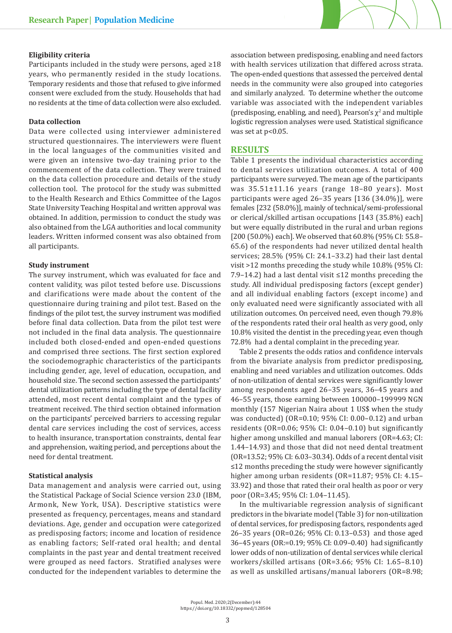## **Eligibility criteria**

Participants included in the study were persons, aged ≥18 years, who permanently resided in the study locations. Temporary residents and those that refused to give informed consent were excluded from the study. Households that had no residents at the time of data collection were also excluded.

#### **Data collection**

Data were collected using interviewer administered structured questionnaires. The interviewers were fluent in the local languages of the communities visited and were given an intensive two-day training prior to the commencement of the data collection. They were trained on the data collection procedure and details of the study collection tool. The protocol for the study was submitted to the Health Research and Ethics Committee of the Lagos State University Teaching Hospital and written approval was obtained. In addition, permission to conduct the study was also obtained from the LGA authorities and local community leaders. Written informed consent was also obtained from all participants.

#### **Study instrument**

The survey instrument, which was evaluated for face and content validity, was pilot tested before use. Discussions and clarifications were made about the content of the questionnaire during training and pilot test. Based on the findings of the pilot test, the survey instrument was modified before final data collection. Data from the pilot test were not included in the final data analysis. The questionnaire included both closed-ended and open-ended questions and comprised three sections. The first section explored the sociodemographic characteristics of the participants including gender, age, level of education, occupation, and household size. The second section assessed the participants' dental utilization patterns including the type of dental facility attended, most recent dental complaint and the types of treatment received. The third section obtained information on the participants' perceived barriers to accessing regular dental care services including the cost of services, access to health insurance, transportation constraints, dental fear and apprehension, waiting period, and perceptions about the need for dental treatment.

### **Statistical analysis**

Data management and analysis were carried out, using the Statistical Package of Social Science version 23.0 (IBM, Armonk, New York, USA). Descriptive statistics were presented as frequency, percentages, means and standard deviations. Age, gender and occupation were categorized as predisposing factors; income and location of residence as enabling factors; Self-rated oral health; and dental complaints in the past year and dental treatment received were grouped as need factors. Stratified analyses were conducted for the independent variables to determine the

association between predisposing, enabling and need factors with health services utilization that differed across strata. The open-ended questions that assessed the perceived dental needs in the community were also grouped into categories and similarly analyzed. To determine whether the outcome variable was associated with the independent variables (predisposing, enabling, and need), Pearson's  $\chi^2$  and multiple logistic regression analyses were used. Statistical significance was set at p<0.05.

#### **RESULTS**

Table 1 presents the individual characteristics according to dental services utilization outcomes. A total of 400 participants were surveyed. The mean age of the participants was 35.51±11.16 years (range 18–80 years). Most participants were aged 26–35 years [136 (34.0%)], were females [232 (58.0%)], mainly of technical/semi-professional or clerical/skilled artisan occupations [143 (35.8%) each] but were equally distributed in the rural and urban regions [200 (50.0%) each]. We observed that 60.8% (95% CI: 55.8– 65.6) of the respondents had never utilized dental health services; 28.5% (95% CI: 24.1–33.2) had their last dental visit >12 months preceding the study while 10.8% (95% CI: 7.9–14.2) had a last dental visit ≤12 months preceding the study. All individual predisposing factors (except gender) and all individual enabling factors (except income) and only evaluated need were significantly associated with all utilization outcomes. On perceived need, even though 79.8% of the respondents rated their oral health as very good, only 10.8% visited the dentist in the preceding year, even though 72.8% had a dental complaint in the preceding year.

Table 2 presents the odds ratios and confidence intervals from the bivariate analysis from predictor predisposing, enabling and need variables and utilization outcomes. Odds of non-utilization of dental services were significantly lower among respondents aged 26–35 years, 36–45 years and 46–55 years, those earning between 100000–199999 NGN monthly (157 Nigerian Naira about 1 US\$ when the study was conducted) (OR=0.10; 95% CI: 0.00–0.12) and urban residents (OR=0.06; 95% CI: 0.04–0.10) but significantly higher among unskilled and manual laborers (OR=4.63; CI: 1.44–14.93) and those that did not need dental treatment (OR=13.52; 95% CI: 6.03–30.34). Odds of a recent dental visit ≤12 months preceding the study were however significantly higher among urban residents (OR=11.87; 95% CI: 4.15– 33.92) and those that rated their oral health as poor or very poor (OR=3.45; 95% CI: 1.04–11.45).

In the multivariable regression analysis of significant predictors in the bivariate model (Table 3) for non-utilization of dental services, for predisposing factors, respondents aged 26–35 years (OR=0.26; 95% CI: 0.13–0.53) and those aged 36–45 years (OR:=0.19; 95% CI: 0.09–0.40) had significantly lower odds of non-utilization of dental services while clerical workers/skilled artisans (OR=3.66; 95% CI: 1.65–8.10) as well as unskilled artisans/manual laborers (OR=8.98;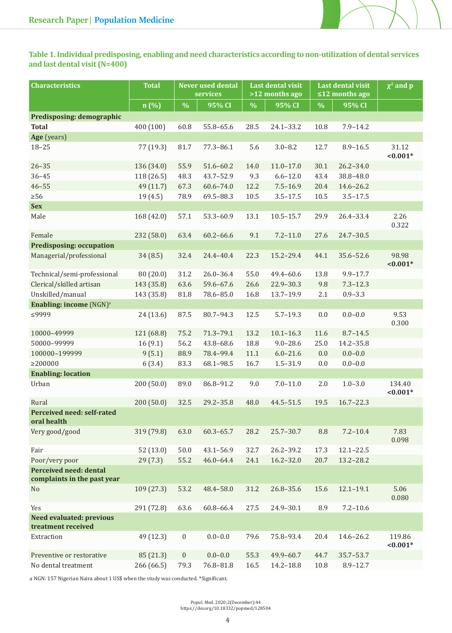

| <b>Characteristics</b>                                | <b>Total</b> |                  | <b>Never used dental</b><br>services | <b>Last dental visit</b><br>>12 months ago |               | <b>Last dental visit</b><br>$\leq$ 12 months ago |               | $\chi^2$ and p       |
|-------------------------------------------------------|--------------|------------------|--------------------------------------|--------------------------------------------|---------------|--------------------------------------------------|---------------|----------------------|
|                                                       | n (%)        | $\frac{0}{0}$    | 95% CI                               | $\%$                                       | 95% CI        | $\%$                                             | 95% CI        |                      |
| Predisposing: demographic                             |              |                  |                                      |                                            |               |                                                  |               |                      |
| <b>Total</b>                                          | 400 (100)    | 60.8             | 55.8-65.6                            | 28.5                                       | $24.1 - 33.2$ | 10.8                                             | $7.9 - 14.2$  |                      |
| Age (years)                                           |              |                  |                                      |                                            |               |                                                  |               |                      |
| $18 - 25$                                             | 77 (19.3)    | 81.7             | $77.3 - 86.1$                        | 5.6                                        | $3.0 - 8.2$   | 12.7                                             | $8.9 - 16.5$  | 31.12<br>$< 0.001*$  |
| $26 - 35$                                             | 136 (34.0)   | 55.9             | $51.6 - 60.2$                        | 14.0                                       | $11.0 - 17.0$ | 30.1                                             | $26.2 - 34.0$ |                      |
| $36 - 45$                                             | 118 (26.5)   | 48.3             | 43.7-52.9                            | 9.3                                        | $6.6 - 12.0$  | 43.4                                             | 38.8-48.0     |                      |
| $46 - 55$                                             | 49 (11.7)    | 67.3             | $60.6 - 74.0$                        | 12.2                                       | $7.5 - 16.9$  | 20.4                                             | $14.6 - 26.2$ |                      |
| $\geq 56$                                             | 19(4.5)      | 78.9             | 69.5-88.3                            | $10.5\,$                                   | $3.5 - 17.5$  | 10.5                                             | $3.5 - 17.5$  |                      |
| <b>Sex</b>                                            |              |                  |                                      |                                            |               |                                                  |               |                      |
| Male                                                  | 168 (42.0)   | 57.1             | 53.3-60.9                            | 13.1                                       | $10.5 - 15.7$ | 29.9                                             | 26.4-33.4     | 2.26<br>0.322        |
| Female                                                | 232 (58.0)   | 63.4             | $60.2 - 66.6$                        | 9.1                                        | $7.2 - 11.0$  | 27.6                                             | $24.7 - 30.5$ |                      |
| <b>Predisposing: occupation</b>                       |              |                  |                                      |                                            |               |                                                  |               |                      |
| Managerial/professional                               | 34(8.5)      | 32.4             | 24.4-40.4                            | 22.3                                       | 15.2-29.4     | 44.1                                             | 35.6-52.6     | 98.98<br>$< 0.001*$  |
| Technical/semi-professional                           | 80 (20.0)    | 31.2             | $26.0 - 36.4$                        | 55.0                                       | 49.4-60.6     | 13.8                                             | $9.9 - 17.7$  |                      |
| Clerical/skilled artisan                              | 143 (35.8)   | 63.6             | 59.6-67.6                            | 26.6                                       | 22.9-30.3     | 9.8                                              | $7.3 - 12.3$  |                      |
| Unskilled/manual                                      | 143 (35.8)   | 81.8             | 78.6-85.0                            | 16.8                                       | 13.7-19.9     | 2.1                                              | $0.9 - 3.3$   |                      |
| <b>Enabling: income (NGN)</b> <sup>a</sup>            |              |                  |                                      |                                            |               |                                                  |               |                      |
| ≤9999                                                 | 24(13.6)     | 87.5             | 80.7-94.3                            | 12.5                                       | $5.7 - 19.3$  | $0.0\,$                                          | $0.0 - 0.0$   | 9.53<br>0.300        |
| 10000-49999                                           | 121 (68.8)   | 75.2             | $71.3 - 79.1$                        | 13.2                                       | $10.1 - 16.3$ | 11.6                                             | $8.7 - 14.5$  |                      |
| 50000-99999                                           | 16(9.1)      | 56.2             | 43.8-68.6                            | 18.8                                       | $9.0 - 28.6$  | 25.0                                             | $14.2 - 35.8$ |                      |
| 100000-199999                                         | 9(5.1)       | 88.9             | 78.4-99.4                            | $11.1\,$                                   | $6.0 - 21.6$  | $0.0\,$                                          | $0.0 - 0.0$   |                      |
| $\geq$ 200000                                         | 6(3.4)       | 83.3             | 68.1-98.5                            | 16.7                                       | $1.5 - 31.9$  | $0.0\,$                                          | $0.0 - 0.0$   |                      |
| <b>Enabling: location</b>                             |              |                  |                                      |                                            |               |                                                  |               |                      |
| Urban                                                 | 200(50.0)    | 89.0             | 86.8-91.2                            | 9.0                                        | $7.0 - 11.0$  | 2.0                                              | $1.0 - 3.0$   | 134.40<br>$< 0.001*$ |
| Rural                                                 | 200 (50.0)   | 32.5             | $29.2 - 35.8$                        | 48.0                                       | $44.5 - 51.5$ | 19.5                                             | $16.7 - 22.3$ |                      |
| Perceived need: self-rated<br>oral health             |              |                  |                                      |                                            |               |                                                  |               |                      |
| Very good/good                                        | 319 (79.8)   | 63.0             | $60.3 - 65.7$                        | 28.2                                       | $25.7 - 30.7$ | 8.8                                              | $7.2 - 10.4$  | 7.83<br>0.098        |
| Fair                                                  | 52(13.0)     | $50.0$           | $43.1 - 56.9$                        | 32.7                                       | 26.2-39.2     | 17.3                                             | $12.1 - 22.5$ |                      |
| Poor/very poor                                        | 29(7.3)      | 55.2             | $46.0 - 64.4$                        | 24.1                                       | $16.2 - 32.0$ | 20.7                                             | 13.2-28.2     |                      |
| Perceived need: dental<br>complaints in the past year |              |                  |                                      |                                            |               |                                                  |               |                      |
| No                                                    | 109(27.3)    | 53.2             | 48.4-58.0                            | 31.2                                       | 26.8-35.6     | 15.6                                             | $12.1 - 19.1$ | 5.06<br>0.080        |
| Yes                                                   | 291 (72.8)   | 63.6             | 60.8-66.4                            | 27.5                                       | 24.9-30.1     | 8.9                                              | $7.2 - 10.6$  |                      |
| <b>Need evaluated: previous</b><br>treatment received |              |                  |                                      |                                            |               |                                                  |               |                      |
| Extraction                                            | 49 (12.3)    | $\boldsymbol{0}$ | $0.0 - 0.0$                          | 79.6                                       | 75.8-93.4     | 20.4                                             | 14.6-26.2     | 119.86<br>$< 0.001*$ |
| Preventive or restorative                             | 85 (21.3)    | $\boldsymbol{0}$ | $0.0 - 0.0$                          | 55.3                                       | 49.9-60.7     | 44.7                                             | 35.7-53.7     |                      |
| No dental treatment                                   | 266 (66.5)   | 79.3             | 76.8-81.8                            | 16.5                                       | 14.2-18.8     | 10.8                                             | $8.9 - 12.7$  |                      |

a NGN: 157 Nigerian Naira about 1 US\$ when the study was conducted. \*Significant.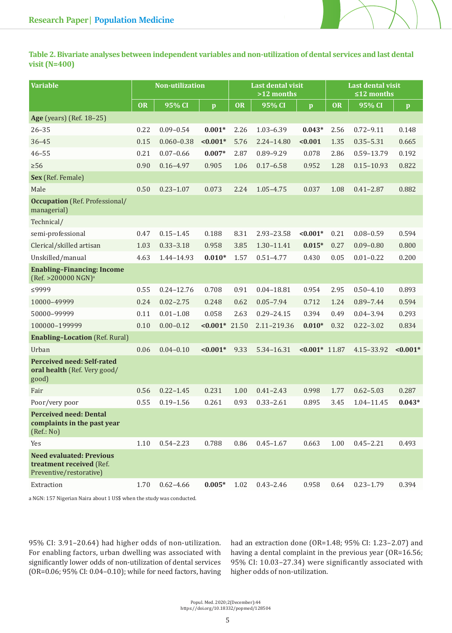

**Table 2. Bivariate analyses between independent variables and non-utilization of dental services and last dental visit (N=400)**

| <b>Variable</b>                                                                        |           | <b>Non-utilization</b> |                      |           | <b>Last dental visit</b><br>$>12$ months |                  |           | <b>Last dental visit</b><br>$\leq$ 12 months |              |  |
|----------------------------------------------------------------------------------------|-----------|------------------------|----------------------|-----------|------------------------------------------|------------------|-----------|----------------------------------------------|--------------|--|
|                                                                                        | <b>OR</b> | 95% CI                 | $\mathbf{p}$         | <b>OR</b> | 95% CI                                   | $\mathbf{p}$     | <b>OR</b> | 95% CI                                       | $\mathbf{p}$ |  |
| <b>Age</b> (years) (Ref. 18-25)                                                        |           |                        |                      |           |                                          |                  |           |                                              |              |  |
| $26 - 35$                                                                              | 0.22      | $0.09 - 0.54$          | $0.001*$             | 2.26      | $1.03 - 6.39$                            | $0.043*$         | 2.56      | $0.72 - 9.11$                                | 0.148        |  |
| $36 - 45$                                                                              | 0.15      | $0.060 - 0.38$         | $< 0.001*$           | 5.76      | 2.24-14.80                               | < 0.001          | 1.35      | $0.35 - 5.31$                                | 0.665        |  |
| $46 - 55$                                                                              | 0.21      | $0.07 - 0.66$          | $0.007*$             | 2.87      | $0.89 - 9.29$                            | 0.078            | 2.86      | 0.59-13.79                                   | 0.192        |  |
| $\geq 56$                                                                              | 0.90      | $0.16 - 4.97$          | 0.905                | 1.06      | $0.17 - 6.58$                            | 0.952            | 1.28      | $0.15 - 10.93$                               | 0.822        |  |
| Sex (Ref. Female)                                                                      |           |                        |                      |           |                                          |                  |           |                                              |              |  |
| Male                                                                                   | 0.50      | $0.23 - 1.07$          | 0.073                | 2.24      | $1.05 - 4.75$                            | 0.037            | 1.08      | $0.41 - 2.87$                                | 0.882        |  |
| <b>Occupation</b> (Ref. Professional/<br>managerial)                                   |           |                        |                      |           |                                          |                  |           |                                              |              |  |
| Technical/                                                                             |           |                        |                      |           |                                          |                  |           |                                              |              |  |
| semi-professional                                                                      | 0.47      | $0.15 - 1.45$          | 0.188                | 8.31      | 2.93-23.58                               | $< 0.001*$       | 0.21      | $0.08 - 0.59$                                | 0.594        |  |
| Clerical/skilled artisan                                                               | 1.03      | $0.33 - 3.18$          | 0.958                | 3.85      | 1.30-11.41                               | $0.015*$         | 0.27      | $0.09 - 0.80$                                | 0.800        |  |
| Unskilled/manual                                                                       | 4.63      | 1.44-14.93             | $0.010*$             | 1.57      | $0.51 - 4.77$                            | 0.430            | 0.05      | $0.01 - 0.22$                                | 0.200        |  |
| <b>Enabling-Financing: Income</b><br>$(Ref. > 200000 NGN)^a$                           |           |                        |                      |           |                                          |                  |           |                                              |              |  |
| ≤9999                                                                                  | 0.55      | $0.24 - 12.76$         | 0.708                | 0.91      | $0.04 - 18.81$                           | 0.954            | 2.95      | $0.50 - 4.10$                                | 0.893        |  |
| 10000-49999                                                                            | 0.24      | $0.02 - 2.75$          | 0.248                | 0.62      | $0.05 - 7.94$                            | 0.712            | 1.24      | $0.89 - 7.44$                                | 0.594        |  |
| 50000-99999                                                                            | 0.11      | $0.01 - 1.08$          | 0.058                | 2.63      | $0.29 - 24.15$                           | 0.394            | 0.49      | $0.04 - 3.94$                                | 0.293        |  |
| 100000-199999                                                                          | 0.10      | $0.00 - 0.12$          | $\leq 0.001^*$ 21.50 |           | 2.11-219.36                              | $0.010*$         | 0.32      | $0.22 - 3.02$                                | 0.834        |  |
| <b>Enabling-Location</b> (Ref. Rural)                                                  |           |                        |                      |           |                                          |                  |           |                                              |              |  |
| Urban                                                                                  | 0.06      | $0.04 - 0.10$          | $< 0.001*$           | 9.33      | 5.34-16.31                               | $< 0.001*$ 11.87 |           | 4.15 - 33.92                                 | $< 0.001*$   |  |
| Perceived need: Self-rated<br>oral health (Ref. Very good/<br>good)                    |           |                        |                      |           |                                          |                  |           |                                              |              |  |
| Fair                                                                                   | 0.56      | $0.22 - 1.45$          | 0.231                | 1.00      | $0.41 - 2.43$                            | 0.998            | 1.77      | $0.62 - 5.03$                                | 0.287        |  |
| Poor/very poor                                                                         | 0.55      | $0.19 - 1.56$          | 0.261                | 0.93      | $0.33 - 2.61$                            | 0.895            | 3.45      | 1.04-11.45                                   | $0.043*$     |  |
| <b>Perceived need: Dental</b><br>complaints in the past year<br>(Ref.: No)             |           |                        |                      |           |                                          |                  |           |                                              |              |  |
| Yes                                                                                    | 1.10      | $0.54 - 2.23$          | 0.788                | 0.86      | $0.45 - 1.67$                            | 0.663            | 1.00      | $0.45 - 2.21$                                | 0.493        |  |
| <b>Need evaluated: Previous</b><br>treatment received (Ref.<br>Preventive/restorative) |           |                        |                      |           |                                          |                  |           |                                              |              |  |
| Extraction                                                                             | 1.70      | $0.62 - 4.66$          | $0.005*$             | 1.02      | $0.43 - 2.46$                            | 0.958            | 0.64      | $0.23 - 1.79$                                | 0.394        |  |
|                                                                                        |           |                        |                      |           |                                          |                  |           |                                              |              |  |

a NGN: 157 Nigerian Naira about 1 US\$ when the study was conducted.

95% CI: 3.91–20.64) had higher odds of non-utilization. For enabling factors, urban dwelling was associated with significantly lower odds of non-utilization of dental services (OR=0.06; 95% CI: 0.04–0.10); while for need factors, having

had an extraction done (OR=1.48; 95% CI: 1.23–2.07) and having a dental complaint in the previous year (OR=16.56; 95% CI: 10.03–27.34) were significantly associated with higher odds of non-utilization.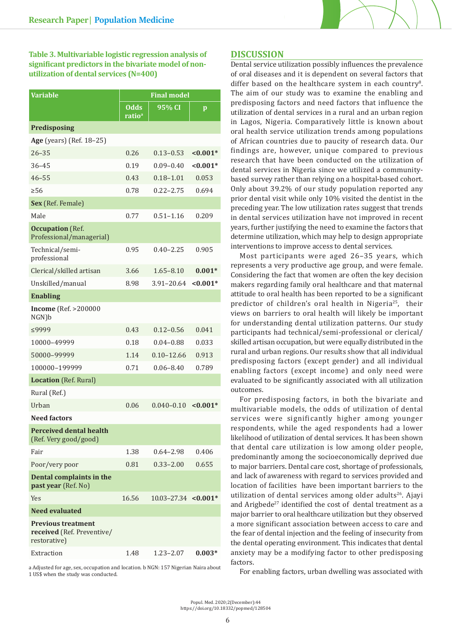

**Table 3. Multivariable logistic regression analysis of significant predictors in the bivariate model of nonutilization of dental services (N=400)**

| Variable                                                                | <b>Final model</b>         |                                     |              |  |  |
|-------------------------------------------------------------------------|----------------------------|-------------------------------------|--------------|--|--|
|                                                                         | Odds<br>ratio <sup>a</sup> | 95% CI                              | $\mathbf{p}$ |  |  |
| <b>Predisposing</b>                                                     |                            |                                     |              |  |  |
| Age (years) (Ref. 18-25)                                                |                            |                                     |              |  |  |
| $26 - 35$                                                               | 0.26                       | $0.13 - 0.53$                       | ${<}0.001*$  |  |  |
| $36 - 45$                                                               | 0.19                       | $0.09 - 0.40$                       | ${<}0.001*$  |  |  |
| $46 - 55$                                                               | 0.43                       | $0.18 - 1.01$                       | 0.053        |  |  |
| $\geq 56$                                                               | 0.78                       | $0.22 - 2.75$                       | 0.694        |  |  |
| Sex (Ref. Female)                                                       |                            |                                     |              |  |  |
| Male                                                                    | 0.77                       | $0.51 - 1.16$                       | 0.209        |  |  |
| <b>Occupation</b> (Ref.<br>Professional/managerial)                     |                            |                                     |              |  |  |
| Technical/semi-<br>professional                                         | 0.95                       | $0.40 - 2.25$                       | 0.905        |  |  |
| Clerical/skilled artisan                                                | 3.66                       | $1.65 - 8.10$                       | $0.001*$     |  |  |
| Unskilled/manual                                                        | 8.98                       | $3.91 - 20.64$                      | $< 0.001*$   |  |  |
| <b>Enabling</b>                                                         |                            |                                     |              |  |  |
| <b>Income</b> (Ref. >200000<br>$NGN$ ) $b$                              |                            |                                     |              |  |  |
| ≤9999                                                                   | 0.43                       | $0.12 - 0.56$                       | 0.041        |  |  |
| 10000-49999                                                             | 0.18                       | $0.04 - 0.88$                       | 0.033        |  |  |
| 50000-99999                                                             | 1.14                       | $0.10 - 12.66$                      | 0.913        |  |  |
| 100000-199999                                                           | 0.71                       | $0.06 - 8.40$                       | 0.789        |  |  |
| <b>Location</b> (Ref. Rural)                                            |                            |                                     |              |  |  |
| Rural (Ref.)                                                            |                            |                                     |              |  |  |
| Urban                                                                   | 0.06                       | $0.040 - 0.10$                      | $< 0.001*$   |  |  |
| <b>Need factors</b>                                                     |                            |                                     |              |  |  |
| <b>Perceived dental health</b><br>(Ref. Very good/good)                 |                            |                                     |              |  |  |
| Fair                                                                    | 1.38                       | $0.64 - 2.98$                       | 0.406        |  |  |
| Poor/very poor                                                          | 0.81                       | $0.33 - 2.00$                       | 0.655        |  |  |
| Dental complaints in the<br>past year (Ref. No)                         |                            |                                     |              |  |  |
| <b>Yes</b>                                                              | 16.56                      | $10.03 - 27.34$ <0.001 <sup>*</sup> |              |  |  |
| <b>Need evaluated</b>                                                   |                            |                                     |              |  |  |
| <b>Previous treatment</b><br>received (Ref. Preventive/<br>restorative) |                            |                                     |              |  |  |
| Extraction                                                              | 1.48                       | $1.23 - 2.07$                       | $0.003*$     |  |  |

a Adjusted for age, sex, occupation and location. b NGN: 157 Nigerian Naira about 1 US\$ when the study was conducted.

# **DISCUSSION**

Dental service utilization possibly influences the prevalence of oral diseases and it is dependent on several factors that differ based on the healthcare system in each country<sup>8</sup>. The aim of our study was to examine the enabling and predisposing factors and need factors that influence the utilization of dental services in a rural and an urban region in Lagos, Nigeria. Comparatively little is known about oral health service utilization trends among populations of African countries due to paucity of research data. Our findings are, however, unique compared to previous research that have been conducted on the utilization of dental services in Nigeria since we utilized a communitybased survey rather than relying on a hospital-based cohort. Only about 39.2% of our study population reported any prior dental visit while only 10% visited the dentist in the preceding year. The low utilization rates suggest that trends in dental services utilization have not improved in recent years, further justifying the need to examine the factors that determine utilization, which may help to design appropriate interventions to improve access to dental services.

Most participants were aged 26–35 years, which represents a very productive age group, and were female. Considering the fact that women are often the key decision makers regarding family oral healthcare and that maternal attitude to oral health has been reported to be a significant predictor of children's oral health in Nigeria25, their views on barriers to oral health will likely be important for understanding dental utilization patterns. Our study participants had technical/semi-professional or clerical/ skilled artisan occupation, but were equally distributed in the rural and urban regions. Our results show that all individual predisposing factors (except gender) and all individual enabling factors (except income) and only need were evaluated to be significantly associated with all utilization outcomes.

For predisposing factors, in both the bivariate and multivariable models, the odds of utilization of dental services were significantly higher among younger respondents, while the aged respondents had a lower likelihood of utilization of dental services. It has been shown that dental care utilization is low among older people, predominantly among the socioeconomically deprived due to major barriers. Dental care cost, shortage of professionals, and lack of awareness with regard to services provided and location of facilities have been important barriers to the utilization of dental services among older adults<sup>26</sup>. Ajayi and Arigbede<sup>27</sup> identified the cost of dental treatment as a major barrier to oral healthcare utilization but they observed a more significant association between access to care and the fear of dental injection and the feeling of insecurity from the dental operating environment. This indicates that dental anxiety may be a modifying factor to other predisposing factors.

For enabling factors, urban dwelling was associated with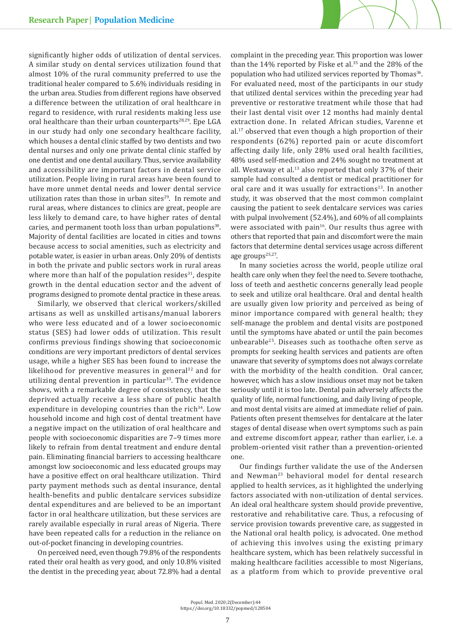significantly higher odds of utilization of dental services. A similar study on dental services utilization found that almost 10% of the rural community preferred to use the traditional healer compared to 5.6% individuals residing in the urban area. Studies from different regions have observed a difference between the utilization of oral healthcare in regard to residence, with rural residents making less use oral healthcare than their urban counterparts<sup>28,29</sup>. Epe LGA in our study had only one secondary healthcare facility, which houses a dental clinic staffed by two dentists and two dental nurses and only one private dental clinic staffed by one dentist and one dental auxiliary. Thus, service availability and accessibility are important factors in dental service utilization. People living in rural areas have been found to have more unmet dental needs and lower dental service utilization rates than those in urban sites $29$ . In remote and rural areas, where distances to clinics are great, people are less likely to demand care, to have higher rates of dental caries, and permanent tooth loss than urban populations $30$ . Majority of dental facilities are located in cities and towns because access to social amenities, such as electricity and potable water, is easier in urban areas. Only 20% of dentists in both the private and public sectors work in rural areas where more than half of the population resides $31$ , despite growth in the dental education sector and the advent of programs designed to promote dental practice in these areas.

Similarly, we observed that clerical workers/skilled artisans as well as unskilled artisans/manual laborers who were less educated and of a lower socioeconomic status (SES) had lower odds of utilization. This result confirms previous findings showing that socioeconomic conditions are very important predictors of dental services usage, while a higher SES has been found to increase the likelihood for preventive measures in general $32$  and for utilizing dental prevention in particular<sup>33</sup>. The evidence shows, with a remarkable degree of consistency, that the deprived actually receive a less share of public health expenditure in developing countries than the rich<sup>34</sup>. Low household income and high cost of dental treatment have a negative impact on the utilization of oral healthcare and people with socioeconomic disparities are 7–9 times more likely to refrain from dental treatment and endure dental pain. Eliminating financial barriers to accessing healthcare amongst low socioeconomic and less educated groups may have a positive effect on oral healthcare utilization. Third party payment methods such as dental insurance, dental health-benefits and public dentalcare services subsidize dental expenditures and are believed to be an important factor in oral healthcare utilization, but these services are rarely available especially in rural areas of Nigeria. There have been repeated calls for a reduction in the reliance on out-of-pocket financing in developing countries.

On perceived need, even though 79.8% of the respondents rated their oral health as very good, and only 10.8% visited the dentist in the preceding year, about 72.8% had a dental complaint in the preceding year. This proportion was lower than the  $14\%$  reported by Fiske et al.<sup>35</sup> and the 28% of the population who had utilized services reported by Thomas<sup>36</sup>. For evaluated need, most of the participants in our study that utilized dental services within the preceding year had preventive or restorative treatment while those that had their last dental visit over 12 months had mainly dental extraction done. In related African studies, Varenne et al.17 observed that even though a high proportion of their respondents (62%) reported pain or acute discomfort affecting daily life, only 28% used oral health facilities, 48% used self-medication and 24% sought no treatment at all. Westaway et al.<sup>13</sup> also reported that only 37% of their sample had consulted a dentist or medical practitioner for oral care and it was usually for extractions<sup>13</sup>. In another study, it was observed that the most common complaint causing the patient to seek dentalcare services was caries with pulpal involvement (52.4%), and 60% of all complaints were associated with pain<sup>16</sup>. Our results thus agree with others that reported that pain and discomfort were the main factors that determine dental services usage across different age groups<sup>25,27</sup>.

In many societies across the world, people utilize oral health care only when they feel the need to. Severe toothache, loss of teeth and aesthetic concerns generally lead people to seek and utilize oral healthcare. Oral and dental health are usually given low priority and perceived as being of minor importance compared with general health; they self-manage the problem and dental visits are postponed until the symptoms have abated or until the pain becomes unbearable25. Diseases such as toothache often serve as prompts for seeking health services and patients are often unaware that severity of symptoms does not always correlate with the morbidity of the health condition. Oral cancer, however, which has a slow insidious onset may not be taken seriously until it is too late. Dental pain adversely affects the quality of life, normal functioning, and daily living of people, and most dental visits are aimed at immediate relief of pain. Patients often present themselves for dentalcare at the later stages of dental disease when overt symptoms such as pain and extreme discomfort appear, rather than earlier, i.e. a problem-oriented visit rather than a prevention-oriented one.

Our findings further validate the use of the Andersen and Newman<sup>23</sup> behavioral model for dental research applied to health services, as it highlighted the underlying factors associated with non-utilization of dental services. An ideal oral healthcare system should provide preventive, restorative and rehabilitative care. Thus, a refocusing of service provision towards preventive care, as suggested in the National oral health policy, is advocated. One method of achieving this involves using the existing primary healthcare system, which has been relatively successful in making healthcare facilities accessible to most Nigerians, as a platform from which to provide preventive oral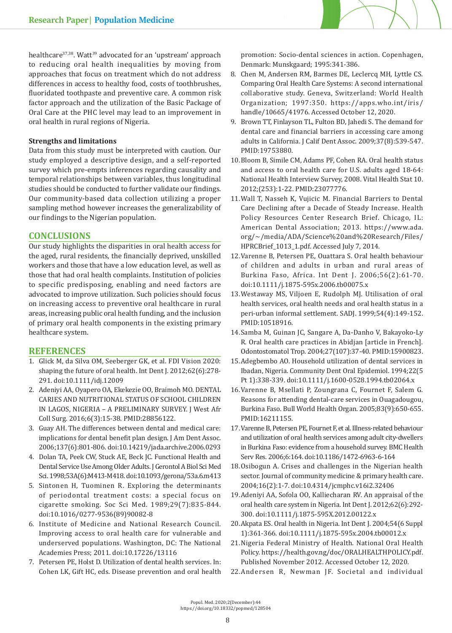

healthcare<sup>37,38</sup>. Watt<sup>39</sup> advocated for an 'upstream' approach to reducing oral health inequalities by moving from approaches that focus on treatment which do not address differences in access to healthy food, costs of toothbrushes, fluoridated toothpaste and preventive care. A common risk factor approach and the utilization of the Basic Package of Oral Care at the PHC level may lead to an improvement in oral health in rural regions of Nigeria.

## **Strengths and limitations**

Data from this study must be interpreted with caution. Our study employed a descriptive design, and a self-reported survey which pre-empts inferences regarding causality and temporal relationships between variables, thus longitudinal studies should be conducted to further validate our findings. Our community-based data collection utilizing a proper sampling method however increases the generalizability of our findings to the Nigerian population.

# **CONCLUSIONS**

Our study highlights the disparities in oral health access for the aged, rural residents, the financially deprived, unskilled workers and those that have a low education level, as well as those that had oral health complaints. Institution of policies to specific predisposing, enabling and need factors are advocated to improve utilization. Such policies should focus on increasing access to preventive oral healthcare in rural areas, increasing public oral health funding, and the inclusion of primary oral health components in the existing primary healthcare system.

# **REFERENCES**

- 1. Glick M, da Silva OM, Seeberger GK, et al. FDI Vision 2020: shaping the future of oral health. Int Dent J. 2012;62(6):278- 291. doi:10.1111/idj.12009
- 2. Adeniyi AA, Oyapero OA, Ekekezie OO, Braimoh MO. DENTAL CARIES AND NUTRITIONAL STATUS OF SCHOOL CHILDREN IN LAGOS, NIGERIA – A PRELIMINARY SURVEY. J West Afr Coll Surg. 2016;6(3):15-38. PMID:28856122.
- 3. Guay AH. The differences between dental and medical care: implications for dental benefit plan design. J Am Dent Assoc. 2006;137(6):801-806. doi:10.14219/jada.archive.2006.0293
- 4. Dolan TA, Peek CW, Stuck AE, Beck JC. Functional Health and Dental Service Use Among Older Adults. J Gerontol A Biol Sci Med Sci. 1998;53A(6):M413-M418. doi:10.1093/gerona/53a.6.m413
- 5. Sintonen H, Tuominen R. Exploring the determinants of periodontal treatment costs: a special focus on cigarette smoking. Soc Sci Med. 1989;29(7):835-844. doi:10.1016/0277-9536(89)90082-8
- 6. Institute of Medicine and National Research Council. Improving access to oral health care for vulnerable and underserved populations. Washington, DC: The National Academies Press; 2011. doi:10.17226/13116
- 7. Petersen PE, Holst D. Utilization of dental health services. In: Cohen LK, Gift HC, eds. Disease prevention and oral health

promotion: Socio-dental sciences in action. Copenhagen, Denmark: Munskgaard; 1995:341-386.

- 8. Chen M, Andersen RM, Barmes DE, Leclercq MH, Lyttle CS. Comparing Oral Health Care Systems: A second international collaborative study. Geneva, Switzerland: World Health Organization; 1997:350. https://apps.who.int/iris/ handle/10665/41976. Accessed October 12, 2020.
- 9. Brown TT, Finlayson TL, Fulton BD, Jahedi S. The demand for dental care and financial barriers in accessing care among adults in California. J Calif Dent Assoc. 2009;37(8):539-547. PMID:19753880.
- 10.Bloom B, Simile CM, Adams PF, Cohen RA. Oral health status and access to oral health care for U.S. adults aged 18-64: National Health Interview Survey, 2008. Vital Health Stat 10. 2012;(253):1-22. PMID:23077776.
- 11.Wall T, Nasseh K, Vujicic M. Financial Barriers to Dental Care Declining after a Decade of Steady Increase. Health Policy Resources Center Research Brief. Chicago, IL: American Dental Association; 2013. https://www.ada. org/~/media/ADA/Science%20and%20Research/Files/ HPRCBrief\_1013\_1.pdf. Accessed July 7, 2014.
- 12.Varenne B, Petersen PE, Ouattara S. Oral health behaviour of children and adults in urban and rural areas of Burkina Faso, Africa. Int Dent J. 2006;56(2):61-70. doi:10.1111/j.1875-595x.2006.tb00075.x
- 13.Westaway MS, Viljoen E, Rudolph MJ. Utilisation of oral health services, oral health needs and oral health status in a peri-urban informal settlement. SADJ. 1999;54(4):149-152. PMID:10518916.
- 14.Samba M, Guinan JC, Sangare A, Da-Danho V, Bakayoko-Ly R. Oral health care practices in Abidjan [article in French]. Odontostomatol Trop. 2004;27(107):37-40. PMID:15900823.
- 15.Adegbembo AO. Household utilization of dental services in Ibadan, Nigeria. Community Dent Oral Epidemiol. 1994;22(5 Pt 1):338-339. doi:10.1111/j.1600-0528.1994.tb02064.x
- 16.Varenne B, Msellati P, Zoungrana C, Fournet F, Salem G. Reasons for attending dental-care services in Ouagadougou, Burkina Faso. Bull World Health Organ. 2005;83(9):650-655. PMID:16211155.
- 17.Varenne B, Petersen PE, Fournet F, et al. Illness-related behaviour and utilization of oral health services among adult city-dwellers in Burkina Faso: evidence from a household survey. BMC Health Serv Res. 2006;6:164. doi:10.1186/1472-6963-6-164
- 18.Osibogun A. Crises and challenges in the Nigerian health sector. Journal of community medicine & primary health care. 2004;16(2):1-7. doi:10.4314/jcmphc.v16i2.32406
- 19.Adeniyi AA, Sofola OO, Kalliecharan RV. An appraisal of the oral health care system in Nigeria. Int Dent J. 2012;62(6):292- 300. doi:10.1111/j.1875-595X.2012.00122.x
- 20.Akpata ES. Oral health in Nigeria. Int Dent J. 2004;54(6 Suppl 1):361-366. doi:10.1111/j.1875-595x.2004.tb00012.x
- 21.Nigeria Federal Ministry of Health. National Oral Health Policy. https://health.gov.ng/doc/ORALHEALTHPOLICY.pdf. Published November 2012. Accessed October 12, 2020.
- 22.Andersen R, Newman JF. Societal and individual